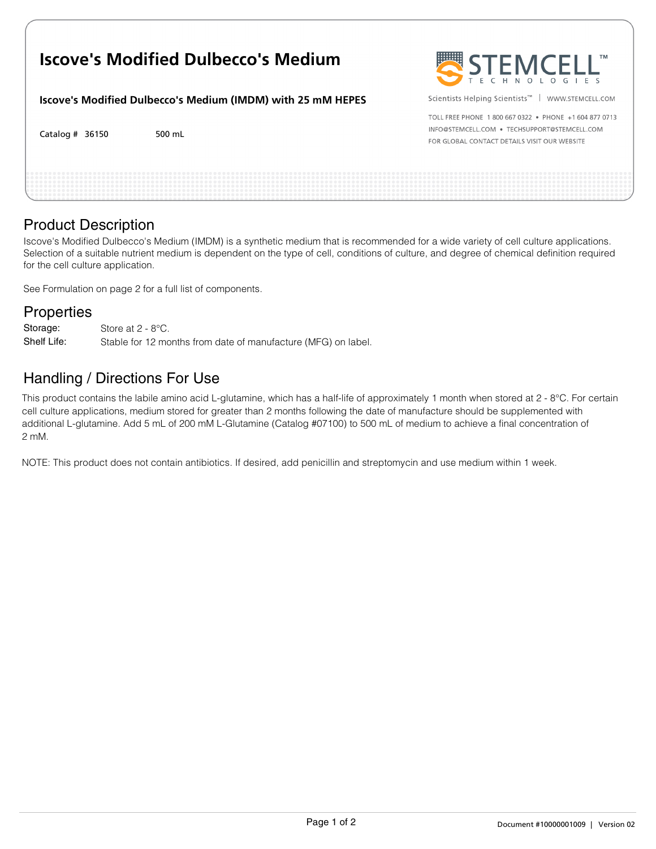# **Iscove's Modified Dulbecco's Medium**

**Iscove's Modified Dulbecco's Medium (IMDM) with 25 mM HEPES**

Catalog # 500 mL



Scientists Helping Scientists™ | WWW.STEMCELL.COM

TOLL EREE PHONE 1 800 667 0322 · PHONE +1 604 877 0713 INFO@STEMCELL.COM . TECHSUPPORT@STEMCELL.COM FOR GLOBAL CONTACT DETAILS VISIT OUR WEBSITE

### Product Description

Iscove's Modified Dulbecco's Medium (IMDM) is a synthetic medium that is recommended for a wide variety of cell culture applications. Selection of a suitable nutrient medium is dependent on the type of cell, conditions of culture, and degree of chemical definition required for the cell culture application.

See Formulation on page 2 for a full list of components.

#### **Properties**

Store at 2 - 8°C. Stable for 12 months from date of manufacture (MFG) on label. Storage: Shelf Life:

## Handling / Directions For Use

This product contains the labile amino acid L-glutamine, which has a half-life of approximately 1 month when stored at 2 - 8°C. For certain cell culture applications, medium stored for greater than 2 months following the date of manufacture should be supplemented with additional L-glutamine. Add 5 mL of 200 mM L-Glutamine (Catalog #07100) to 500 mL of medium to achieve a final concentration of 2 mM.

NOTE: This product does not contain antibiotics. If desired, add penicillin and streptomycin and use medium within 1 week.